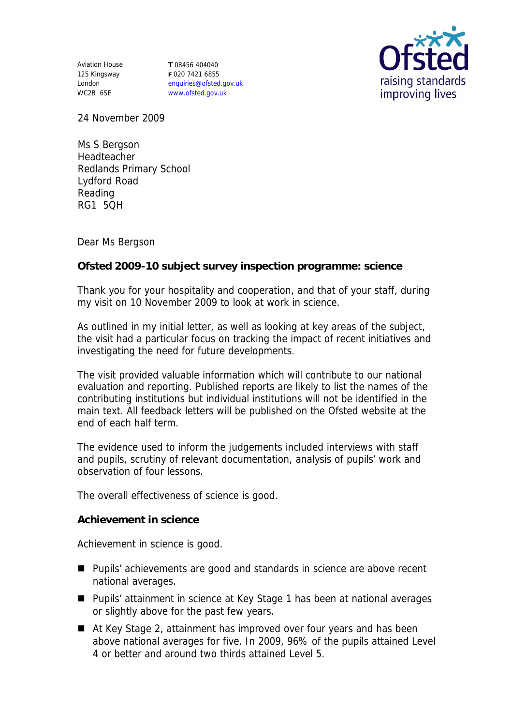Aviation House 125 Kingsway London WC2B 6SE

**T** 08456 404040 **F** 020 7421 6855 enquiries@ofsted.gov.uk www.ofsted.gov.uk



24 November 2009

Ms S Bergson Headteacher Redlands Primary School Lydford Road Reading RG1 5QH

Dear Ms Bergson

**Ofsted 2009-10 subject survey inspection programme: science**

Thank you for your hospitality and cooperation, and that of your staff, during my visit on 10 November 2009 to look at work in science.

As outlined in my initial letter, as well as looking at key areas of the subject, the visit had a particular focus on tracking the impact of recent initiatives and investigating the need for future developments.

The visit provided valuable information which will contribute to our national evaluation and reporting. Published reports are likely to list the names of the contributing institutions but individual institutions will not be identified in the main text. All feedback letters will be published on the Ofsted website at the end of each half term.

The evidence used to inform the judgements included interviews with staff and pupils, scrutiny of relevant documentation, analysis of pupils' work and observation of four lessons.

The overall effectiveness of science is good.

**Achievement in science**

Achievement in science is good.

- Pupils' achievements are good and standards in science are above recent national averages.
- Pupils' attainment in science at Key Stage 1 has been at national averages or slightly above for the past few years.
- At Key Stage 2, attainment has improved over four years and has been above national averages for five. In 2009, 96% of the pupils attained Level 4 or better and around two thirds attained Level 5.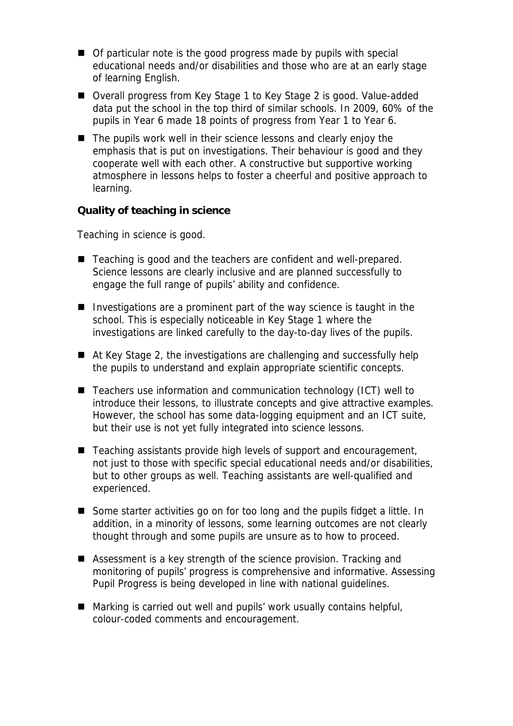- Of particular note is the good progress made by pupils with special educational needs and/or disabilities and those who are at an early stage of learning English.
- Overall progress from Key Stage 1 to Key Stage 2 is good. Value-added data put the school in the top third of similar schools. In 2009, 60% of the pupils in Year 6 made 18 points of progress from Year 1 to Year 6.
- The pupils work well in their science lessons and clearly enjoy the emphasis that is put on investigations. Their behaviour is good and they cooperate well with each other. A constructive but supportive working atmosphere in lessons helps to foster a cheerful and positive approach to learning.

**Quality of teaching in science**

Teaching in science is good.

- Teaching is good and the teachers are confident and well-prepared. Science lessons are clearly inclusive and are planned successfully to engage the full range of pupils' ability and confidence.
- Investigations are a prominent part of the way science is taught in the school. This is especially noticeable in Key Stage 1 where the investigations are linked carefully to the day-to-day lives of the pupils.
- At Key Stage 2, the investigations are challenging and successfully help the pupils to understand and explain appropriate scientific concepts.
- Teachers use information and communication technology (ICT) well to introduce their lessons, to illustrate concepts and give attractive examples. However, the school has some data-logging equipment and an ICT suite, but their use is not yet fully integrated into science lessons.
- Teaching assistants provide high levels of support and encouragement, not just to those with specific special educational needs and/or disabilities, but to other groups as well. Teaching assistants are well-qualified and experienced.
- Some starter activities go on for too long and the pupils fidget a little. In addition, in a minority of lessons, some learning outcomes are not clearly thought through and some pupils are unsure as to how to proceed.
- Assessment is a key strength of the science provision. Tracking and monitoring of pupils' progress is comprehensive and informative. Assessing Pupil Progress is being developed in line with national guidelines.
- Marking is carried out well and pupils' work usually contains helpful, colour-coded comments and encouragement.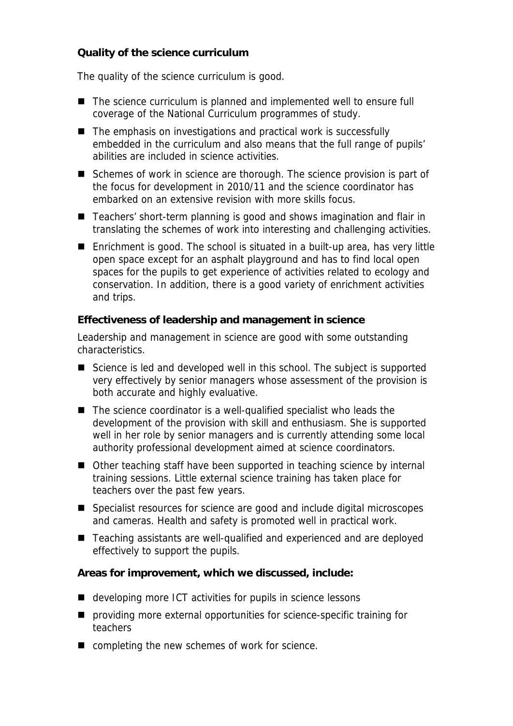## **Quality of the science curriculum**

The quality of the science curriculum is good.

- The science curriculum is planned and implemented well to ensure full coverage of the National Curriculum programmes of study.
- $\blacksquare$  The emphasis on investigations and practical work is successfully embedded in the curriculum and also means that the full range of pupils' abilities are included in science activities.
- Schemes of work in science are thorough. The science provision is part of the focus for development in 2010/11 and the science coordinator has embarked on an extensive revision with more skills focus.
- Teachers' short-term planning is good and shows imagination and flair in translating the schemes of work into interesting and challenging activities.
- Enrichment is good. The school is situated in a built-up area, has very little open space except for an asphalt playground and has to find local open spaces for the pupils to get experience of activities related to ecology and conservation. In addition, there is a good variety of enrichment activities and trips.

**Effectiveness of leadership and management in science**

Leadership and management in science are good with some outstanding characteristics.

- Science is led and developed well in this school. The subject is supported very effectively by senior managers whose assessment of the provision is both accurate and highly evaluative.
- The science coordinator is a well-qualified specialist who leads the development of the provision with skill and enthusiasm. She is supported well in her role by senior managers and is currently attending some local authority professional development aimed at science coordinators.
- Other teaching staff have been supported in teaching science by internal training sessions. Little external science training has taken place for teachers over the past few years.
- Specialist resources for science are good and include digital microscopes and cameras. Health and safety is promoted well in practical work.
- Teaching assistants are well-qualified and experienced and are deployed effectively to support the pupils.

**Areas for improvement, which we discussed, include:**

- developing more ICT activities for pupils in science lessons
- **P** providing more external opportunities for science-specific training for teachers
- completing the new schemes of work for science.